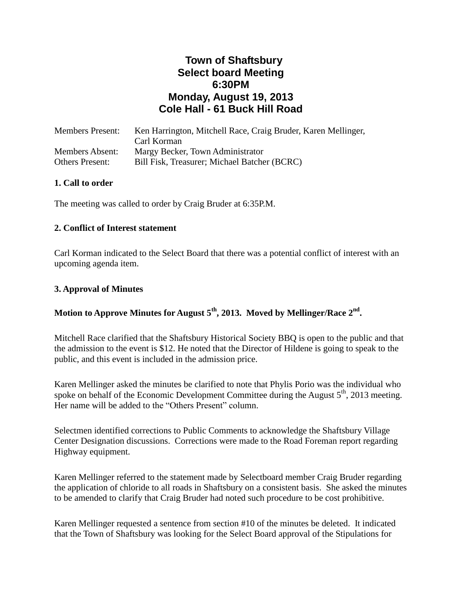# **Town of Shaftsbury Select board Meeting 6:30PM Monday, August 19, 2013 Cole Hall - 61 Buck Hill Road**

| <b>Members Present:</b> | Ken Harrington, Mitchell Race, Craig Bruder, Karen Mellinger, |
|-------------------------|---------------------------------------------------------------|
|                         | Carl Korman                                                   |
| <b>Members Absent:</b>  | Margy Becker, Town Administrator                              |
| <b>Others Present:</b>  | Bill Fisk, Treasurer; Michael Batcher (BCRC)                  |

#### **1. Call to order**

The meeting was called to order by Craig Bruder at 6:35P.M.

#### **2. Conflict of Interest statement**

Carl Korman indicated to the Select Board that there was a potential conflict of interest with an upcoming agenda item.

#### **3. Approval of Minutes**

## **Motion to Approve Minutes for August 5th, 2013. Moved by Mellinger/Race 2nd .**

Mitchell Race clarified that the Shaftsbury Historical Society BBQ is open to the public and that the admission to the event is \$12. He noted that the Director of Hildene is going to speak to the public, and this event is included in the admission price.

Karen Mellinger asked the minutes be clarified to note that Phylis Porio was the individual who spoke on behalf of the Economic Development Committee during the August  $5<sup>th</sup>$ , 2013 meeting. Her name will be added to the "Others Present" column.

Selectmen identified corrections to Public Comments to acknowledge the Shaftsbury Village Center Designation discussions. Corrections were made to the Road Foreman report regarding Highway equipment.

Karen Mellinger referred to the statement made by Selectboard member Craig Bruder regarding the application of chloride to all roads in Shaftsbury on a consistent basis. She asked the minutes to be amended to clarify that Craig Bruder had noted such procedure to be cost prohibitive.

Karen Mellinger requested a sentence from section #10 of the minutes be deleted. It indicated that the Town of Shaftsbury was looking for the Select Board approval of the Stipulations for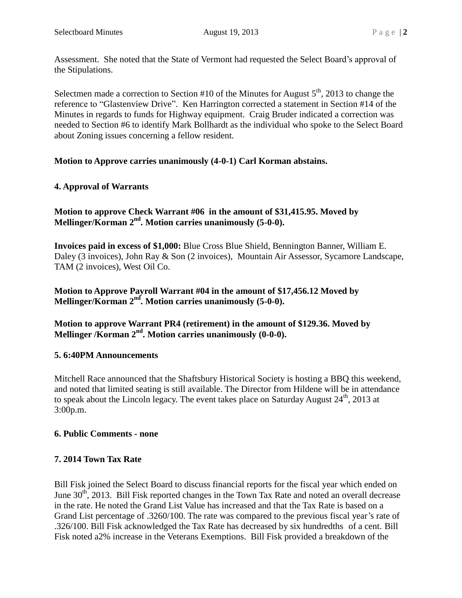Assessment. She noted that the State of Vermont had requested the Select Board's approval of the Stipulations.

Selectmen made a correction to Section #10 of the Minutes for August  $5<sup>th</sup>$ , 2013 to change the reference to "Glastenview Drive". Ken Harrington corrected a statement in Section #14 of the Minutes in regards to funds for Highway equipment. Craig Bruder indicated a correction was needed to Section #6 to identify Mark Bollhardt as the individual who spoke to the Select Board about Zoning issues concerning a fellow resident.

# **Motion to Approve carries unanimously (4-0-1) Carl Korman abstains.**

# **4. Approval of Warrants**

## **Motion to approve Check Warrant #06 in the amount of \$31,415.95. Moved by Mellinger/Korman 2 nd. Motion carries unanimously (5-0-0).**

**Invoices paid in excess of \$1,000:** Blue Cross Blue Shield, Bennington Banner, William E. Daley (3 invoices), John Ray & Son (2 invoices), Mountain Air Assessor, Sycamore Landscape, TAM (2 invoices), West Oil Co.

#### **Motion to Approve Payroll Warrant #04 in the amount of \$17,456.12 Moved by Mellinger/Korman 2nd. Motion carries unanimously (5-0-0).**

### **Motion to approve Warrant PR4 (retirement) in the amount of \$129.36. Moved by Mellinger /Korman 2nd. Motion carries unanimously (0-0-0).**

# **5. 6:40PM Announcements**

Mitchell Race announced that the Shaftsbury Historical Society is hosting a BBQ this weekend, and noted that limited seating is still available. The Director from Hildene will be in attendance to speak about the Lincoln legacy. The event takes place on Saturday August  $24^{th}$ , 2013 at 3:00p.m.

# **6. Public Comments - none**

# **7. 2014 Town Tax Rate**

Bill Fisk joined the Select Board to discuss financial reports for the fiscal year which ended on June  $30<sup>th</sup>$ , 2013. Bill Fisk reported changes in the Town Tax Rate and noted an overall decrease in the rate. He noted the Grand List Value has increased and that the Tax Rate is based on a Grand List percentage of .3260/100. The rate was compared to the previous fiscal year's rate of .326/100. Bill Fisk acknowledged the Tax Rate has decreased by six hundredths of a cent. Bill Fisk noted a2% increase in the Veterans Exemptions. Bill Fisk provided a breakdown of the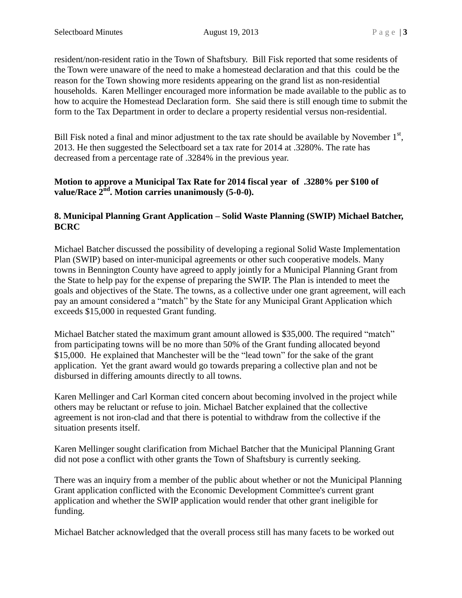resident/non-resident ratio in the Town of Shaftsbury. Bill Fisk reported that some residents of the Town were unaware of the need to make a homestead declaration and that this could be the reason for the Town showing more residents appearing on the grand list as non-residential households. Karen Mellinger encouraged more information be made available to the public as to how to acquire the Homestead Declaration form. She said there is still enough time to submit the form to the Tax Department in order to declare a property residential versus non-residential.

Bill Fisk noted a final and minor adjustment to the tax rate should be available by November  $1<sup>st</sup>$ , 2013. He then suggested the Selectboard set a tax rate for 2014 at .3280%. The rate has decreased from a percentage rate of .3284% in the previous year.

#### **Motion to approve a Municipal Tax Rate for 2014 fiscal year of .3280% per \$100 of value/Race 2nd. Motion carries unanimously (5-0-0).**

### **8. Municipal Planning Grant Application – Solid Waste Planning (SWIP) Michael Batcher, BCRC**

Michael Batcher discussed the possibility of developing a regional Solid Waste Implementation Plan (SWIP) based on inter-municipal agreements or other such cooperative models. Many towns in Bennington County have agreed to apply jointly for a Municipal Planning Grant from the State to help pay for the expense of preparing the SWIP. The Plan is intended to meet the goals and objectives of the State. The towns, as a collective under one grant agreement, will each pay an amount considered a "match" by the State for any Municipal Grant Application which exceeds \$15,000 in requested Grant funding.

Michael Batcher stated the maximum grant amount allowed is \$35,000. The required "match" from participating towns will be no more than 50% of the Grant funding allocated beyond \$15,000. He explained that Manchester will be the "lead town" for the sake of the grant application. Yet the grant award would go towards preparing a collective plan and not be disbursed in differing amounts directly to all towns.

Karen Mellinger and Carl Korman cited concern about becoming involved in the project while others may be reluctant or refuse to join. Michael Batcher explained that the collective agreement is not iron-clad and that there is potential to withdraw from the collective if the situation presents itself.

Karen Mellinger sought clarification from Michael Batcher that the Municipal Planning Grant did not pose a conflict with other grants the Town of Shaftsbury is currently seeking.

There was an inquiry from a member of the public about whether or not the Municipal Planning Grant application conflicted with the Economic Development Committee's current grant application and whether the SWIP application would render that other grant ineligible for funding.

Michael Batcher acknowledged that the overall process still has many facets to be worked out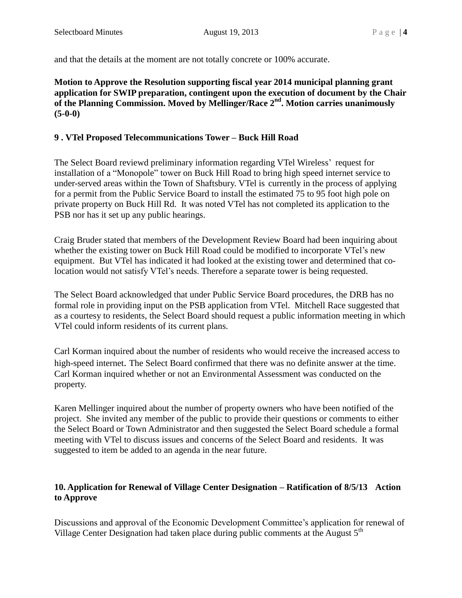and that the details at the moment are not totally concrete or 100% accurate.

**Motion to Approve the Resolution supporting fiscal year 2014 municipal planning grant application for SWIP preparation, contingent upon the execution of document by the Chair of the Planning Commission. Moved by Mellinger/Race 2nd. Motion carries unanimously (5-0-0)**

#### **9 . VTel Proposed Telecommunications Tower – Buck Hill Road**

The Select Board reviewd preliminary information regarding VTel Wireless' request for installation of a "Monopole" tower on Buck Hill Road to bring high speed internet service to under-served areas within the Town of Shaftsbury. VTel is currently in the process of applying for a permit from the Public Service Board to install the estimated 75 to 95 foot high pole on private property on Buck Hill Rd. It was noted VTel has not completed its application to the PSB nor has it set up any public hearings.

Craig Bruder stated that members of the Development Review Board had been inquiring about whether the existing tower on Buck Hill Road could be modified to incorporate VTel's new equipment. But VTel has indicated it had looked at the existing tower and determined that colocation would not satisfy VTel's needs. Therefore a separate tower is being requested.

The Select Board acknowledged that under Public Service Board procedures, the DRB has no formal role in providing input on the PSB application from VTel. Mitchell Race suggested that as a courtesy to residents, the Select Board should request a public information meeting in which VTel could inform residents of its current plans.

Carl Korman inquired about the number of residents who would receive the increased access to high-speed internet. The Select Board confirmed that there was no definite answer at the time. Carl Korman inquired whether or not an Environmental Assessment was conducted on the property.

Karen Mellinger inquired about the number of property owners who have been notified of the project. She invited any member of the public to provide their questions or comments to either the Select Board or Town Administrator and then suggested the Select Board schedule a formal meeting with VTel to discuss issues and concerns of the Select Board and residents. It was suggested to item be added to an agenda in the near future.

### **10. Application for Renewal of Village Center Designation – Ratification of 8/5/13 Action to Approve**

Discussions and approval of the Economic Development Committee's application for renewal of Village Center Designation had taken place during public comments at the August  $5<sup>th</sup>$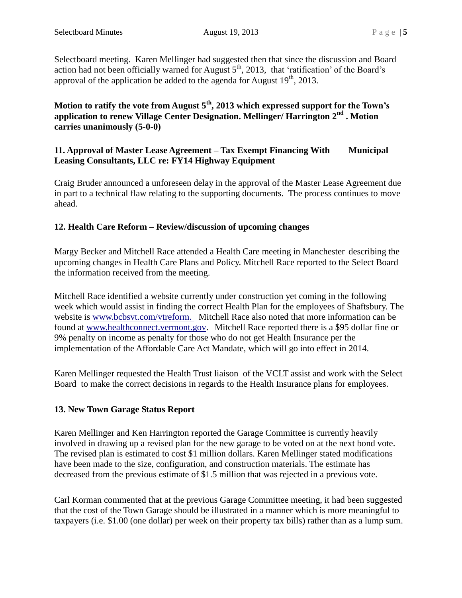Selectboard meeting. Karen Mellinger had suggested then that since the discussion and Board action had not been officially warned for August  $5<sup>th</sup>$ , 2013, that 'ratification' of the Board's approval of the application be added to the agenda for August  $19<sup>th</sup>$ , 2013.

**Motion to ratify the vote from August 5th, 2013 which expressed support for the Town's application to renew Village Center Designation. Mellinger/ Harrington 2nd . Motion carries unanimously (5-0-0)**

#### **11. Approval of Master Lease Agreement – Tax Exempt Financing With Municipal Leasing Consultants, LLC re: FY14 Highway Equipment**

Craig Bruder announced a unforeseen delay in the approval of the Master Lease Agreement due in part to a technical flaw relating to the supporting documents. The process continues to move ahead.

#### **12. Health Care Reform – Review/discussion of upcoming changes**

Margy Becker and Mitchell Race attended a Health Care meeting in Manchester describing the upcoming changes in Health Care Plans and Policy. Mitchell Race reported to the Select Board the information received from the meeting.

Mitchell Race identified a website currently under construction yet coming in the following week which would assist in finding the correct Health Plan for the employees of Shaftsbury. The website is [www.bcbsvt.com/vtreform.](http://www.bcbsvt.com/vtreform) Mitchell Race also noted that more information can be found at [www.healthconnect.vermont.gov.](http://www.healthconnect.vermont.gov/) Mitchell Race reported there is a \$95 dollar fine or 9% penalty on income as penalty for those who do not get Health Insurance per the implementation of the Affordable Care Act Mandate, which will go into effect in 2014.

Karen Mellinger requested the Health Trust liaison of the VCLT assist and work with the Select Board to make the correct decisions in regards to the Health Insurance plans for employees.

#### **13. New Town Garage Status Report**

Karen Mellinger and Ken Harrington reported the Garage Committee is currently heavily involved in drawing up a revised plan for the new garage to be voted on at the next bond vote. The revised plan is estimated to cost \$1 million dollars. Karen Mellinger stated modifications have been made to the size, configuration, and construction materials. The estimate has decreased from the previous estimate of \$1.5 million that was rejected in a previous vote.

Carl Korman commented that at the previous Garage Committee meeting, it had been suggested that the cost of the Town Garage should be illustrated in a manner which is more meaningful to taxpayers (i.e. \$1.00 (one dollar) per week on their property tax bills) rather than as a lump sum.